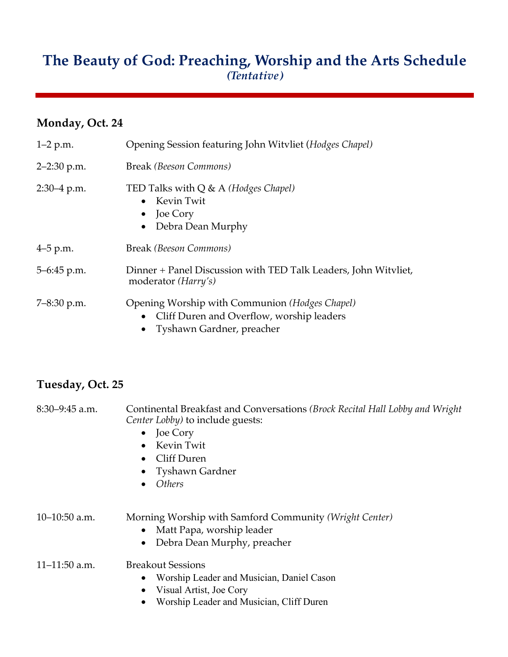## **The Beauty of God: Preaching, Worship and the Arts Schedule** *(Tentative)*

## **Monday, Oct. 24**

| $1-2$ p.m.      | Opening Session featuring John Witvliet (Hodges Chapel)                                                                  |
|-----------------|--------------------------------------------------------------------------------------------------------------------------|
| $2 - 2:30$ p.m. | Break (Beeson Commons)                                                                                                   |
| $2:30-4$ p.m.   | TED Talks with $Q \& A$ (Hodges Chapel)<br>$\bullet$ Kevin Twit<br>$\bullet$ Joe Cory<br>Debra Dean Murphy               |
| $4-5$ p.m.      | Break (Beeson Commons)                                                                                                   |
| $5-6:45$ p.m.   | Dinner + Panel Discussion with TED Talk Leaders, John Witvliet,<br>moderator ( <i>Harry's</i> )                          |
| $7 - 8:30$ p.m. | Opening Worship with Communion (Hodges Chapel)<br>Cliff Duren and Overflow, worship leaders<br>Tyshawn Gardner, preacher |

## **Tuesday, Oct. 25**

| $8:30-9:45$ a.m.  | Continental Breakfast and Conversations (Brock Recital Hall Lobby and Wright<br><i>Center Lobby)</i> to include guests:<br>Joe Cory<br>$\bullet$<br>Kevin Twit<br>$\bullet$<br>Cliff Duren<br>$\bullet$<br>• Tyshawn Gardner<br><b>Others</b><br>$\bullet$ |
|-------------------|------------------------------------------------------------------------------------------------------------------------------------------------------------------------------------------------------------------------------------------------------------|
| $10-10:50$ a.m.   | Morning Worship with Samford Community (Wright Center)<br>Matt Papa, worship leader<br>Debra Dean Murphy, preacher<br>$\bullet$                                                                                                                            |
| $11 - 11:50$ a.m. | <b>Breakout Sessions</b><br>Worship Leader and Musician, Daniel Cason<br>٠<br>Visual Artist, Joe Cory<br>٠<br>Worship Leader and Musician, Cliff Duren                                                                                                     |